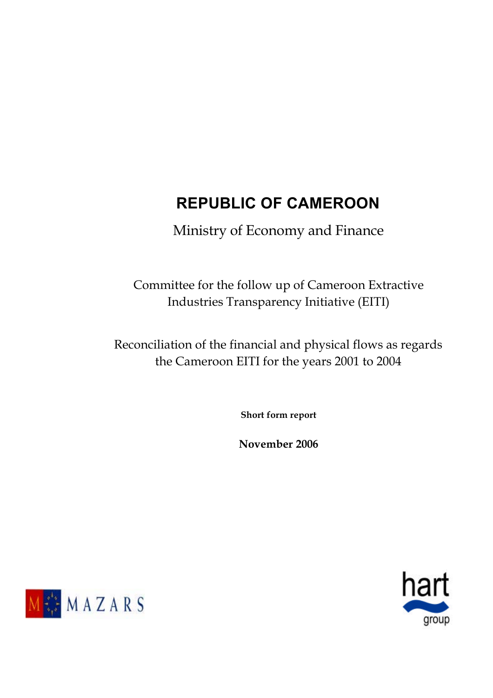# **REPUBLIC OF CAMEROON**

Ministry of Economy and Finance

Committee for the follow up of Cameroon Extractive Industries Transparency Initiative (EITI)

Reconciliation of the financial and physical flows as regards the Cameroon EITI for the years 2001 to 2004

**Short form report** 

**November 2006**



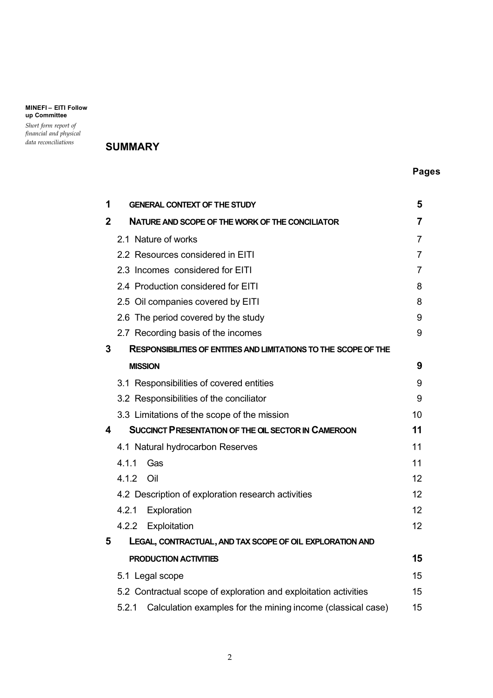*Short form report of financial and physical* 

## *data reconciliations* **SUMMARY**

## **Pages**

| 1           | <b>GENERAL CONTEXT OF THE STUDY</b>                                     | 5              |
|-------------|-------------------------------------------------------------------------|----------------|
| $\mathbf 2$ | NATURE AND SCOPE OF THE WORK OF THE CONCILIATOR                         | $\overline{7}$ |
|             | 2.1 Nature of works                                                     | $\overline{7}$ |
|             | 2.2 Resources considered in EITI                                        | $\overline{7}$ |
|             | 2.3 Incomes considered for EITI                                         | 7              |
|             | 2.4 Production considered for EITI                                      | 8              |
|             | 2.5 Oil companies covered by EITI                                       | 8              |
|             | 2.6 The period covered by the study                                     | 9              |
|             | 2.7 Recording basis of the incomes                                      | 9              |
| 3           | <b>RESPONSIBILITIES OF ENTITIES AND LIMITATIONS TO THE SCOPE OF THE</b> |                |
|             | <b>MISSION</b>                                                          | 9              |
|             | 3.1 Responsibilities of covered entities                                | 9              |
|             | 3.2 Responsibilities of the conciliator                                 | 9              |
|             | 3.3 Limitations of the scope of the mission                             | 10             |
| 4           | <b>SUCCINCT PRESENTATION OF THE OIL SECTOR IN CAMEROON</b>              | 11             |
|             | 4.1 Natural hydrocarbon Reserves                                        | 11             |
|             | 4.1.1<br>Gas                                                            | 11             |
|             | 4.1.2<br>Oil                                                            | 12             |
|             | 4.2 Description of exploration research activities                      | 12             |
|             | 4.2.1<br>Exploration                                                    | 12             |
|             | 4.2.2<br>Exploitation                                                   | 12             |
| 5           | LEGAL, CONTRACTUAL, AND TAX SCOPE OF OIL EXPLORATION AND                |                |
|             | PRODUCTION ACTIVITIES                                                   | 15             |
|             | 5.1 Legal scope                                                         | 15             |
|             | 5.2 Contractual scope of exploration and exploitation activities        | 15             |
|             | 5.2.1<br>Calculation examples for the mining income (classical case)    | 15             |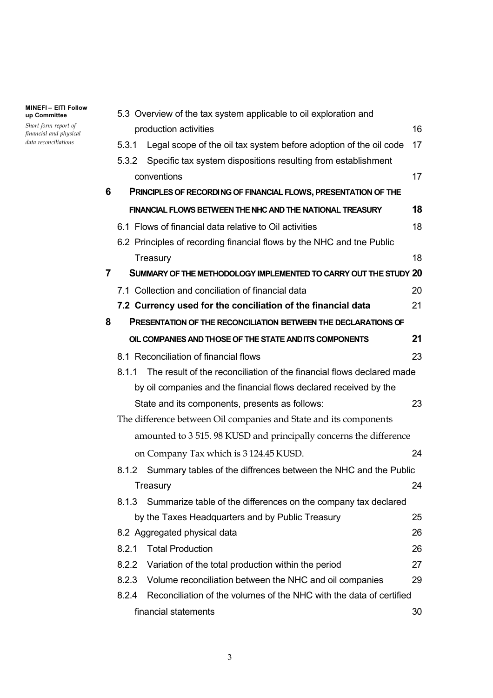*Short form report of financial and physical data reconciliations*

|   |       | 5.3 Overview of the tax system applicable to oil exploration and      |    |
|---|-------|-----------------------------------------------------------------------|----|
|   |       | production activities                                                 | 16 |
|   | 5.3.1 | Legal scope of the oil tax system before adoption of the oil code     | 17 |
|   | 5.3.2 | Specific tax system dispositions resulting from establishment         |    |
|   |       | conventions                                                           | 17 |
| 6 |       | PRINCIPLES OF RECORDING OF FINANCIAL FLOWS, PRESENTATION OF THE       |    |
|   |       | FINANCIAL FLOWS BETWEEN THE NHC AND THE NATIONAL TREASURY             | 18 |
|   |       | 6.1 Flows of financial data relative to Oil activities                | 18 |
|   |       | 6.2 Principles of recording financial flows by the NHC and tne Public |    |
|   |       | Treasury                                                              | 18 |
| 7 |       | SUMMARY OF THE METHODOLOGY IMPLEMENTED TO CARRY OUT THE STUDY 20      |    |
|   |       | 7.1 Collection and conciliation of financial data                     | 20 |
|   |       | 7.2 Currency used for the conciliation of the financial data          | 21 |
| 8 |       | <b>PRESENTATION OF THE RECONCILIATION BETWEEN THE DECLARATIONS OF</b> |    |
|   |       | OIL COMPANIES AND THOSE OF THE STATE AND ITS COMPONENTS               | 21 |
|   |       | 8.1 Reconciliation of financial flows                                 | 23 |
|   | 8.1.1 | The result of the reconciliation of the financial flows declared made |    |
|   |       | by oil companies and the financial flows declared received by the     |    |
|   |       | State and its components, presents as follows:                        | 23 |
|   |       | The difference between Oil companies and State and its components     |    |
|   |       | amounted to 3 515. 98 KUSD and principally concerns the difference    |    |
|   |       | on Company Tax which is 3124.45 KUSD.                                 | 24 |
|   |       | 8.1.2 Summary tables of the diffrences between the NHC and the Public |    |
|   |       | Treasury                                                              | 24 |
|   | 8.1.3 | Summarize table of the differences on the company tax declared        |    |
|   |       | by the Taxes Headquarters and by Public Treasury                      | 25 |
|   |       | 8.2 Aggregated physical data                                          | 26 |
|   | 8.2.1 | <b>Total Production</b>                                               | 26 |
|   | 8.2.2 | Variation of the total production within the period                   | 27 |
|   | 8.2.3 | Volume reconciliation between the NHC and oil companies               | 29 |
|   | 8.2.4 | Reconciliation of the volumes of the NHC with the data of certified   |    |
|   |       | financial statements                                                  | 30 |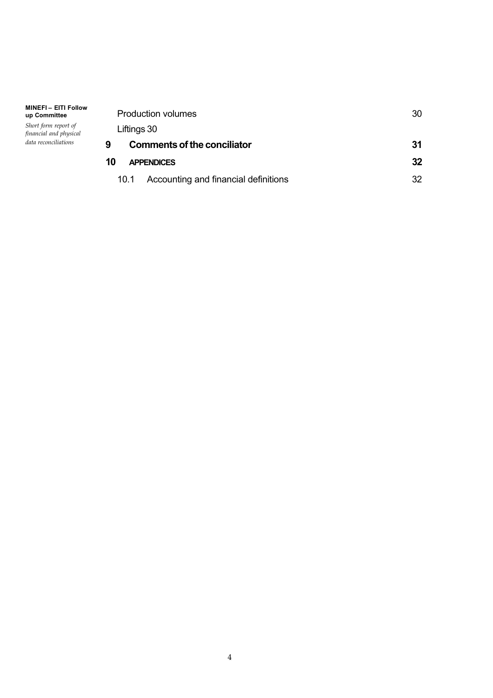| <b>Production volumes</b>                    | 30 |
|----------------------------------------------|----|
| Liftings 30                                  |    |
| Comments of the conciliator<br>9             | 31 |
| 10<br><b>APPENDICES</b>                      | 32 |
| Accounting and financial definitions<br>10.1 | つつ |

*Short form report of financial and physical data reconciliations*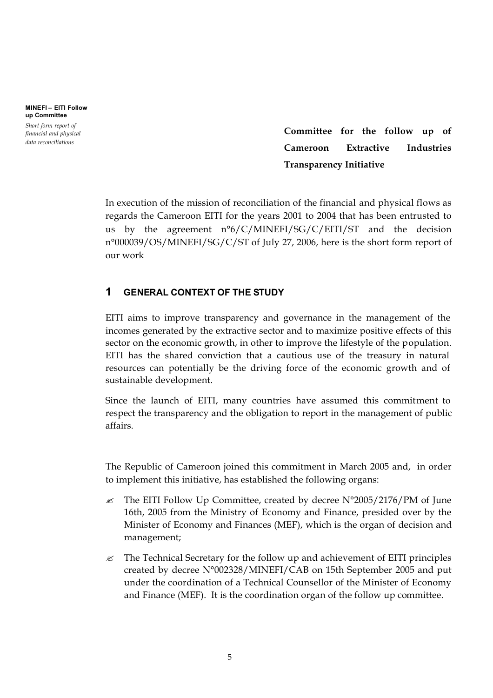**MINEFI – EITI Follow up Committee** *Short form report of* 

*financial and physical data reconciliations*

**Committee for the follow up of Cameroon Extractive Industries Transparency Initiative**

In execution of the mission of reconciliation of the financial and physical flows as regards the Cameroon EITI for the years 2001 to 2004 that has been entrusted to us by the agreement n°6/C/MINEFI/SG/C/EITI/ST and the decision n°000039/OS/MINEFI/SG/C/ST of July 27, 2006, here is the short form report of our work

## **1 GENERAL CONTEXT OF THE STUDY**

EITI aims to improve transparency and governance in the management of the incomes generated by the extractive sector and to maximize positive effects of this sector on the economic growth, in other to improve the lifestyle of the population. EITI has the shared conviction that a cautious use of the treasury in natural resources can potentially be the driving force of the economic growth and of sustainable development.

Since the launch of EITI, many countries have assumed this commitment to respect the transparency and the obligation to report in the management of public affairs.

The Republic of Cameroon joined this commitment in March 2005 and, in order to implement this initiative, has established the following organs:

- $\approx$  The EITI Follow Up Committee, created by decree N°2005/2176/PM of June 16th, 2005 from the Ministry of Economy and Finance, presided over by the Minister of Economy and Finances (MEF), which is the organ of decision and management;
- $\mathcal{L}$  The Technical Secretary for the follow up and achievement of EITI principles created by decree N°002328/MINEFI/CAB on 15th September 2005 and put under the coordination of a Technical Counsellor of the Minister of Economy and Finance (MEF). It is the coordination organ of the follow up committee.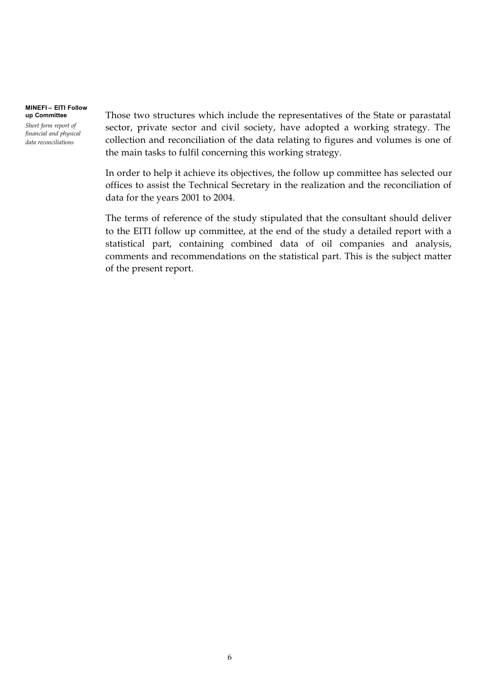*Short form report of financial and physical data reconciliations*

Those two structures which include the representatives of the State or parastatal sector, private sector and civil society, have adopted a working strategy. The collection and reconciliation of the data relating to figures and volumes is one of the main tasks to fulfil concerning this working strategy.

In order to help it achieve its objectives, the follow up committee has selected our offices to assist the Technical Secretary in the realization and the reconciliation of data for the years 2001 to 2004.

The terms of reference of the study stipulated that the consultant should deliver to the EITI follow up committee, at the end of the study a detailed report with a statistical part, containing combined data of oil companies and analysis, comments and recommendations on the statistical part. This is the subject matter of the present report.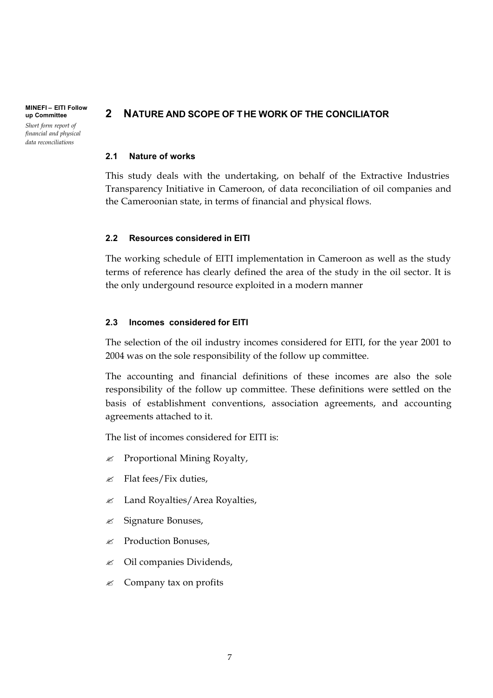**MINEFI – EITI Follow up Committee** *Short form report of financial and physical data reconciliations*

## **2 NATURE AND SCOPE OF THE WORK OF THE CONCILIATOR**

### **2.1 Nature of works**

This study deals with the undertaking, on behalf of the Extractive Industries Transparency Initiative in Cameroon, of data reconciliation of oil companies and the Cameroonian state, in terms of financial and physical flows.

### **2.2 Resources considered in EITI**

The working schedule of EITI implementation in Cameroon as well as the study terms of reference has clearly defined the area of the study in the oil sector. It is the only undergound resource exploited in a modern manner

## **2.3 Incomes considered for EITI**

The selection of the oil industry incomes considered for EITI, for the year 2001 to 2004 was on the sole responsibility of the follow up committee.

The accounting and financial definitions of these incomes are also the sole responsibility of the follow up committee. These definitions were settled on the basis of establishment conventions, association agreements, and accounting agreements attached to it.

The list of incomes considered for EITI is:

- $\mathscr{L}$  Proportional Mining Royalty,
- $\mathscr{L}$  Flat fees/Fix duties,
- $\mathscr Z$  Land Royalties/Area Royalties,
- $\mathscr{\mathscr{E}}$  Signature Bonuses,
- $\mathscr{\mathscr{E}}$  Production Bonuses,
- $\&$  Oil companies Dividends,
- $\mathscr{\mathscr{E}}$  Company tax on profits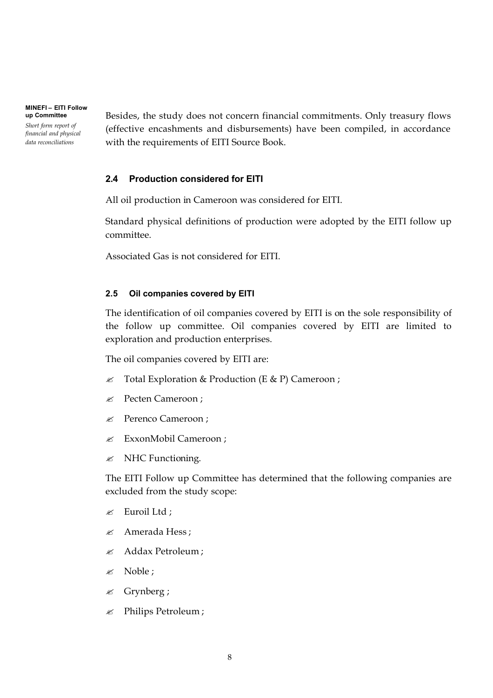*Short form report of financial and physical data reconciliations*

Besides, the study does not concern financial commitments. Only treasury flows (effective encashments and disbursements) have been compiled, in accordance with the requirements of EITI Source Book.

## **2.4 Production considered for EITI**

All oil production in Cameroon was considered for EITI.

Standard physical definitions of production were adopted by the EITI follow up committee.

Associated Gas is not considered for EITI.

## **2.5 Oil companies covered by EITI**

The identification of oil companies covered by EITI is on the sole responsibility of the follow up committee. Oil companies covered by EITI are limited to exploration and production enterprises.

The oil companies covered by EITI are:

- $\mathscr{L}$  Total Exploration & Production (E & P) Cameroon ;
- $\mathscr{L}$  Pecten Cameroon;
- **EXECUTE:** Perenco Cameroon ;
- **ExxonMobil Cameroon** ;
- $\mathscr{\mathscr{E}}$  NHC Functioning.

The EITI Follow up Committee has determined that the following companies are excluded from the study scope:

- $\mathscr{L}$  Euroil Ltd ;
- $\approx$  Amerada Hess:
- $\approx$  Addax Petroleum :
- $\mathscr{\mathscr{E}}$  Noble :
- $\mathscr{\mathscr{E}}$  Grynberg;
- $\mathscr{L}$  Philips Petroleum;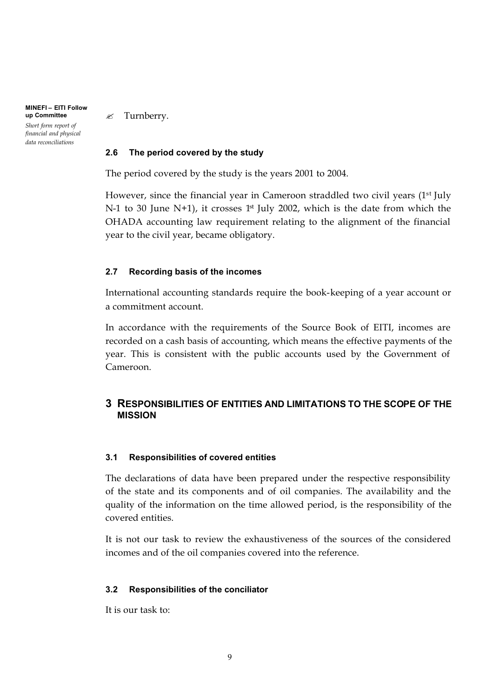**MINEFI – EITI Follow up Committee** *Short form report of financial and physical data reconciliations*

 $\mathscr{\mathscr{A}}$  Turnberry.

### **2.6 The period covered by the study**

The period covered by the study is the years 2001 to 2004.

However, since the financial year in Cameroon straddled two civil years (1<sup>st</sup> July N-1 to 30 June N+1), it crosses  $1<sup>st</sup>$  July 2002, which is the date from which the OHADA accounting law requirement relating to the alignment of the financial year to the civil year, became obligatory.

### **2.7 Recording basis of the incomes**

International accounting standards require the book-keeping of a year account or a commitment account.

In accordance with the requirements of the Source Book of EITI, incomes are recorded on a cash basis of accounting, which means the effective payments of the year. This is consistent with the public accounts used by the Government of Cameroon.

## **3 RESPONSIBILITIES OF ENTITIES AND LIMITATIONS TO THE SCOPE OF THE MISSION**

### **3.1 Responsibilities of covered entities**

The declarations of data have been prepared under the respective responsibility of the state and its components and of oil companies. The availability and the quality of the information on the time allowed period, is the responsibility of the covered entities.

It is not our task to review the exhaustiveness of the sources of the considered incomes and of the oil companies covered into the reference.

### **3.2 Responsibilities of the conciliator**

It is our task to: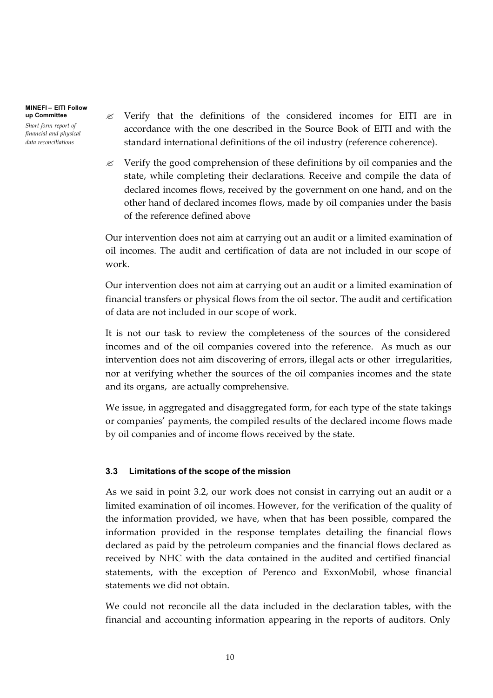*Short form report of financial and physical data reconciliations*

 $\mathscr{L}$  Verify that the definitions of the considered incomes for EITI are in accordance with the one described in the Source Book of EITI and with the standard international definitions of the oil industry (reference coherence).

 $\mathcal Z$  Verify the good comprehension of these definitions by oil companies and the state, while completing their declarations. Receive and compile the data of declared incomes flows, received by the government on one hand, and on the other hand of declared incomes flows, made by oil companies under the basis of the reference defined above

Our intervention does not aim at carrying out an audit or a limited examination of oil incomes. The audit and certification of data are not included in our scope of work.

Our intervention does not aim at carrying out an audit or a limited examination of financial transfers or physical flows from the oil sector. The audit and certification of data are not included in our scope of work.

It is not our task to review the completeness of the sources of the considered incomes and of the oil companies covered into the reference. As much as our intervention does not aim discovering of errors, illegal acts or other irregularities, nor at verifying whether the sources of the oil companies incomes and the state and its organs, are actually comprehensive.

We issue, in aggregated and disaggregated form, for each type of the state takings or companies' payments, the compiled results of the declared income flows made by oil companies and of income flows received by the state.

## **3.3 Limitations of the scope of the mission**

As we said in point 3.2, our work does not consist in carrying out an audit or a limited examination of oil incomes. However, for the verification of the quality of the information provided, we have, when that has been possible, compared the information provided in the response templates detailing the financial flows declared as paid by the petroleum companies and the financial flows declared as received by NHC with the data contained in the audited and certified financial statements, with the exception of Perenco and ExxonMobil, whose financial statements we did not obtain.

We could not reconcile all the data included in the declaration tables, with the financial and accounting information appearing in the reports of auditors. Only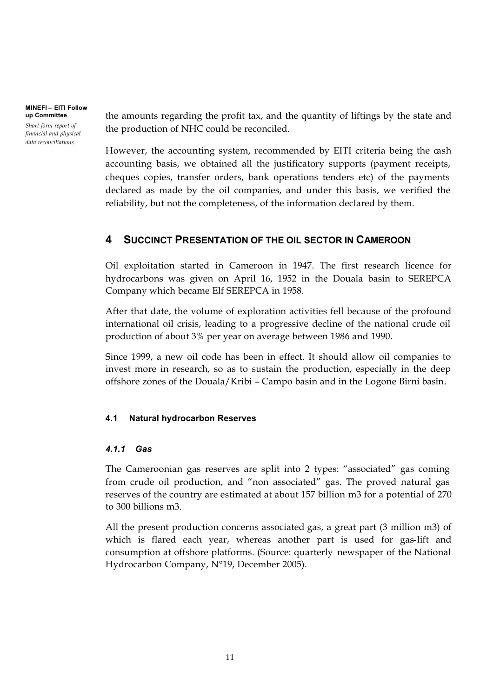**MINEFI – EITI Follow up Committee** *Short form report of* 

*financial and physical data reconciliations*

the amounts regarding the profit tax, and the quantity of liftings by the state and the production of NHC could be reconciled.

However, the accounting system, recommended by EITI criteria being the cash accounting basis, we obtained all the justificatory supports (payment receipts, cheques copies, transfer orders, bank operations tenders etc) of the payments declared as made by the oil companies, and under this basis, we verified the reliability, but not the completeness, of the information declared by them.

## **4 SUCCINCT PRESENTATION OF THE OIL SECTOR IN CAMEROON**

Oil exploitation started in Cameroon in 1947. The first research licence for hydrocarbons was given on April 16, 1952 in the Douala basin to SEREPCA Company which became Elf SEREPCA in 1958.

After that date, the volume of exploration activities fell because of the profound international oil crisis, leading to a progressive decline of the national crude oil production of about 3% per year on average between 1986 and 1990.

Since 1999, a new oil code has been in effect. It should allow oil companies to invest more in research, so as to sustain the production, especially in the deep offshore zones of the Douala/Kribi – Campo basin and in the Logone Birni basin.

## **4.1 Natural hydrocarbon Reserves**

## *4.1.1 Gas*

The Cameroonian gas reserves are split into 2 types: "associated" gas coming from crude oil production, and "non associated" gas. The proved natural gas reserves of the country are estimated at about 157 billion m3 for a potential of 270 to 300 billions m3.

All the present production concerns associated gas, a great part (3 million m3) of which is flared each year, whereas another part is used for gas-lift and consumption at offshore platforms. (Source: quarterly newspaper of the National Hydrocarbon Company, N°19, December 2005).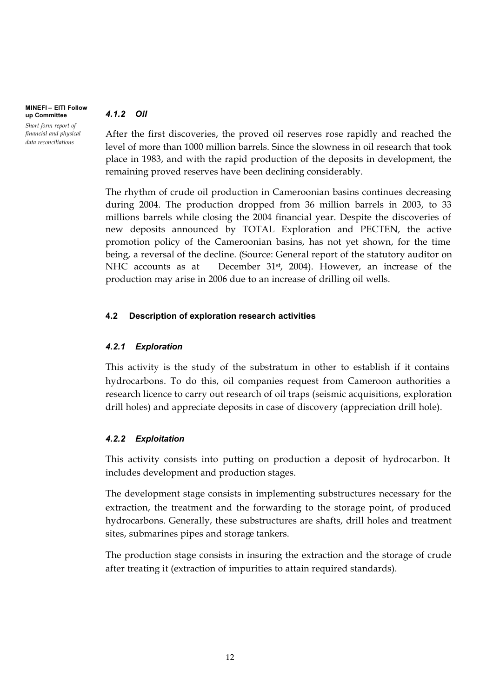## *4.1.2 Oil*

**up Committee** *Short form report of financial and physical data reconciliations*

**MINEFI – EITI Follow** 

After the first discoveries, the proved oil reserves rose rapidly and reached the level of more than 1000 million barrels. Since the slowness in oil research that took place in 1983, and with the rapid production of the deposits in development, the remaining proved reserves have been declining considerably.

The rhythm of crude oil production in Cameroonian basins continues decreasing during 2004. The production dropped from 36 million barrels in 2003, to 33 millions barrels while closing the 2004 financial year. Despite the discoveries of new deposits announced by TOTAL Exploration and PECTEN, the active promotion policy of the Cameroonian basins, has not yet shown, for the time being, a reversal of the decline. (Source: General report of the statutory auditor on NHC accounts as at December 31<sup>st</sup>, 2004). However, an increase of the production may arise in 2006 due to an increase of drilling oil wells.

## **4.2 Description of exploration research activities**

## *4.2.1 Exploration*

This activity is the study of the substratum in other to establish if it contains hydrocarbons. To do this, oil companies request from Cameroon authorities a research licence to carry out research of oil traps (seismic acquisitions, exploration drill holes) and appreciate deposits in case of discovery (appreciation drill hole).

## *4.2.2 Exploitation*

This activity consists into putting on production a deposit of hydrocarbon. It includes development and production stages.

The development stage consists in implementing substructures necessary for the extraction, the treatment and the forwarding to the storage point, of produced hydrocarbons. Generally, these substructures are shafts, drill holes and treatment sites, submarines pipes and storage tankers.

The production stage consists in insuring the extraction and the storage of crude after treating it (extraction of impurities to attain required standards).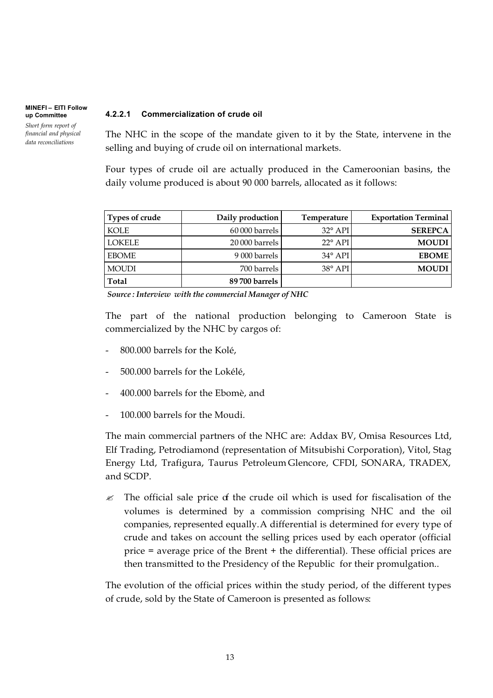*Short form report of financial and physical data reconciliations*

### **4.2.2.1 Commercialization of crude oil**

The NHC in the scope of the mandate given to it by the State, intervene in the selling and buying of crude oil on international markets.

Four types of crude oil are actually produced in the Cameroonian basins, the daily volume produced is about 90 000 barrels, allocated as it follows:

| Types of crude | Daily production | Temperature      | <b>Exportation Terminal</b> |
|----------------|------------------|------------------|-----------------------------|
| <b>KOLE</b>    | 60 000 barrels   | $32^{\circ}$ API | <b>SEREPCA</b>              |
| <b>LOKELE</b>  | 20 000 barrels   | $22^{\circ}$ API | <b>MOUDI</b>                |
| <b>EBOME</b>   | 9 000 barrels    | $34^\circ$ API   | <b>EBOME</b>                |
| <b>MOUDI</b>   | 700 barrels      | $38^\circ$ API   | <b>MOUDI</b>                |
| Total          | 89 700 barrels   |                  |                             |

*Source : Interview with the commercial Manager of NHC*

The part of the national production belonging to Cameroon State is commercialized by the NHC by cargos of:

- 800.000 barrels for the Kolé,
- 500.000 barrels for the Lokélé,
- 400.000 barrels for the Ebomè, and
- 100.000 barrels for the Moudi.

The main commercial partners of the NHC are: Addax BV, Omisa Resources Ltd, Elf Trading, Petrodiamond (representation of Mitsubishi Corporation), Vitol, Stag Energy Ltd, Trafigura, Taurus Petroleum Glencore, CFDI, SONARA, TRADEX, and SCDP.

 $\mathscr Z$  The official sale price of the crude oil which is used for fiscalisation of the volumes is determined by a commission comprising NHC and the oil companies, represented equally.A differential is determined for every type of crude and takes on account the selling prices used by each operator (official price = average price of the Brent + the differential). These official prices are then transmitted to the Presidency of the Republic for their promulgation..

The evolution of the official prices within the study period, of the different types of crude, sold by the State of Cameroon is presented as follows: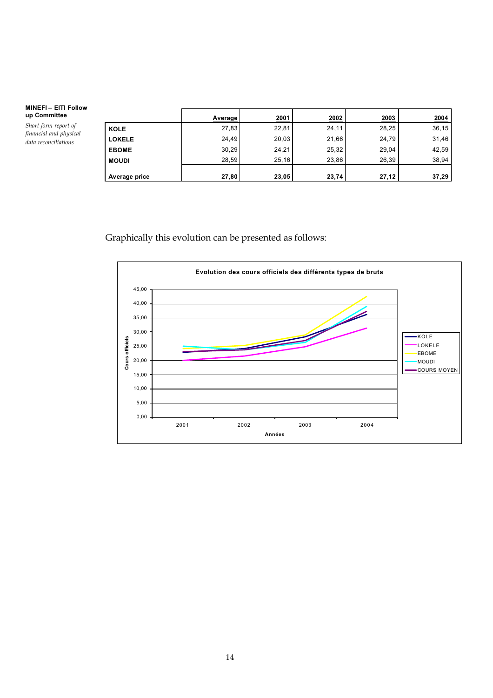*Short form report of financial and physical data reconciliations*

|               | Average | 2001  | 2002  | 2003  | 2004  |
|---------------|---------|-------|-------|-------|-------|
| <b>KOLE</b>   | 27,83   | 22,81 | 24,11 | 28,25 | 36,15 |
| <b>LOKELE</b> | 24,49   | 20,03 | 21,66 | 24,79 | 31,46 |
| <b>EBOME</b>  | 30,29   | 24,21 | 25,32 | 29,04 | 42,59 |
| <b>MOUDI</b>  | 28.59   | 25,16 | 23,86 | 26,39 | 38,94 |
| Average price | 27,80   | 23,05 | 23,74 | 27,12 | 37,29 |

Graphically this evolution can be presented as follows:

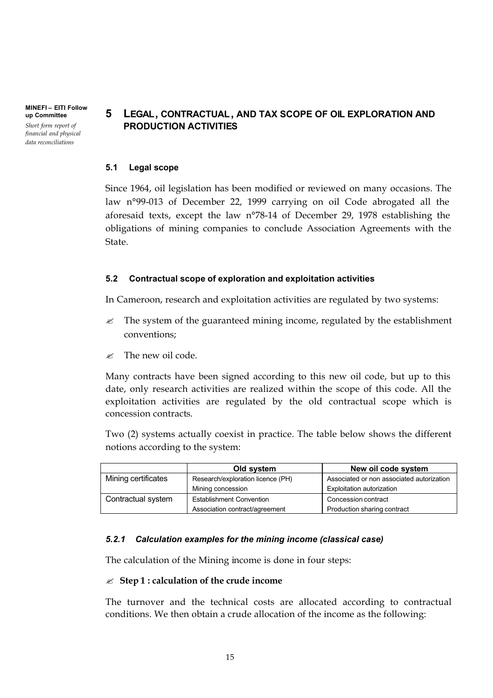**MINEFI – EITI Follow up Committee** *Short form report of financial and physical* 

*data reconciliations*

## **5 LEGAL, CONTRACTUAL, AND TAX SCOPE OF OIL EXPLORATION AND PRODUCTION ACTIVITIES**

### **5.1 Legal scope**

Since 1964, oil legislation has been modified or reviewed on many occasions. The law n°99-013 of December 22, 1999 carrying on oil Code abrogated all the aforesaid texts, except the law n°78-14 of December 29, 1978 establishing the obligations of mining companies to conclude Association Agreements with the State.

## **5.2 Contractual scope of exploration and exploitation activities**

In Cameroon, research and exploitation activities are regulated by two systems:

- $\mathcal{L}$  The system of the guaranteed mining income, regulated by the establishment conventions;
- $\approx$  The new oil code.

Many contracts have been signed according to this new oil code, but up to this date, only research activities are realized within the scope of this code. All the exploitation activities are regulated by the old contractual scope which is concession contracts.

Two (2) systems actually coexist in practice. The table below shows the different notions according to the system:

|                     | Old system                        | New oil code system                       |
|---------------------|-----------------------------------|-------------------------------------------|
| Mining certificates | Research/exploration licence (PH) | Associated or non associated autorization |
|                     | Mining concession                 | <b>Exploitation autorization</b>          |
| Contractual system  | <b>Establishment Convention</b>   | Concession contract                       |
|                     | Association contract/agreement    | Production sharing contract               |

### *5.2.1 Calculation examples for the mining income (classical case)*

The calculation of the Mining income is done in four steps:

### $\mathscr{L}$  Step 1 : calculation of the crude income

The turnover and the technical costs are allocated according to contractual conditions. We then obtain a crude allocation of the income as the following: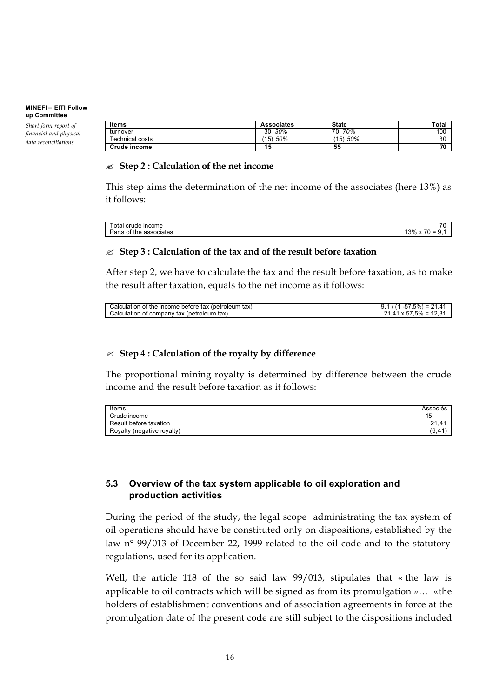*Short form report of financial and physical data reconciliations*

| Items           | <b>Associates</b> | <b>State</b> | Total |
|-----------------|-------------------|--------------|-------|
| turnover        | 30%<br>30         | 70%<br>70    | 100   |
| Technical costs | 50%<br>(15)       | (15) 50%     | 30    |
| Crude income    | 15                | 55           | 70    |

### " **Step 2 : Calculation of the net income**

This step aims the determination of the net income of the associates (here 13%) as it follows:

| otal<br>crude income          | $\overline{\phantom{a}}$<br>ົ ພ |
|-------------------------------|---------------------------------|
| of the<br>Parts<br>associates | 70.<br>'3%<br>-<br>-<br>v       |
|                               |                                 |

## " **Step 3 : Calculation of the tax and of the result before taxation**

After step 2, we have to calculate the tax and the result before taxation, as to make the result after taxation, equals to the net income as it follows:

| Calculation of the income before tax (petroleum tax) | $-57.5\% = 21.41$             |
|------------------------------------------------------|-------------------------------|
| Calculation of company tax (petroleum tax)           | $21.41 \times 57.5\% = 12.31$ |
|                                                      |                               |

## $≤$  **Step 4 : Calculation of the royalty by difference**

The proportional mining royalty is determined by difference between the crude income and the result before taxation as it follows:

| Items                      | Associés |
|----------------------------|----------|
| Crude income               | טו       |
| Result before taxation     | 21.41    |
| Royalty (negative royalty) | (6,41    |

## **5.3 Overview of the tax system applicable to oil exploration and production activities**

During the period of the study, the legal scope administrating the tax system of oil operations should have be constituted only on dispositions, established by the law n° 99/013 of December 22, 1999 related to the oil code and to the statutory regulations, used for its application.

Well, the article 118 of the so said law 99/013, stipulates that « the law is applicable to oil contracts which will be signed as from its promulgation »… «the holders of establishment conventions and of association agreements in force at the promulgation date of the present code are still subject to the dispositions included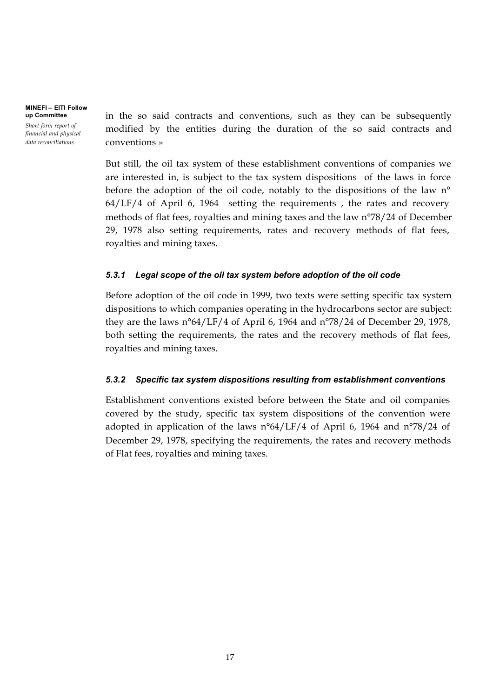*Short form report of financial and physical data reconciliations*

in the so said contracts and conventions, such as they can be subsequently modified by the entities during the duration of the so said contracts and conventions »

But still, the oil tax system of these establishment conventions of companies we are interested in, is subject to the tax system dispositions of the laws in force before the adoption of the oil code, notably to the dispositions of the law n° 64/LF/4 of April 6, 1964 setting the requirements , the rates and recovery methods of flat fees, royalties and mining taxes and the law n°78/24 of December 29, 1978 also setting requirements, rates and recovery methods of flat fees, royalties and mining taxes.

## *5.3.1 Legal scope of the oil tax system before adoption of the oil code*

Before adoption of the oil code in 1999, two texts were setting specific tax system dispositions to which companies operating in the hydrocarbons sector are subject: they are the laws n°64/LF/4 of April 6, 1964 and n°78/24 of December 29, 1978, both setting the requirements, the rates and the recovery methods of flat fees, royalties and mining taxes.

## *5.3.2 Specific tax system dispositions resulting from establishment conventions*

Establishment conventions existed before between the State and oil companies covered by the study, specific tax system dispositions of the convention were adopted in application of the laws  $n^{\circ}64/LF/4$  of April 6, 1964 and  $n^{\circ}78/24$  of December 29, 1978, specifying the requirements, the rates and recovery methods of Flat fees, royalties and mining taxes.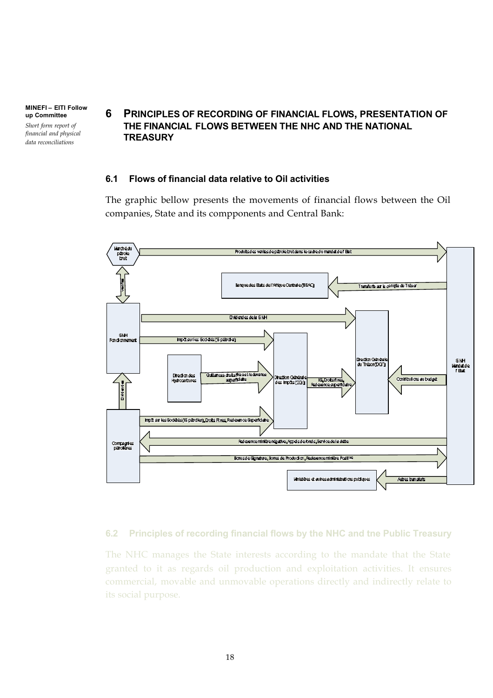**MINEFI – EITI Follow up Committee** *Short form report of* 

*financial and physical data reconciliations*

## **6 PRINCIPLES OF RECORDING OF FINANCIAL FLOWS, PRESENTATION OF THE FINANCIAL FLOWS BETWEEN THE NHC AND THE NATIONAL TREASURY**

### **6.1 Flows of financial data relative to Oil activities**

The graphic bellow presents the movements of financial flows between the Oil companies, State and its compponents and Central Bank:



## **6.2 Principles of recording financial flows by the NHC and tne Public Treasury**

The NHC manages the State interests according to the mandate that the State granted to it as regards oil production and exploitation activities. It ensures commercial, movable and unmovable operations directly and indirectly relate to its social purpose.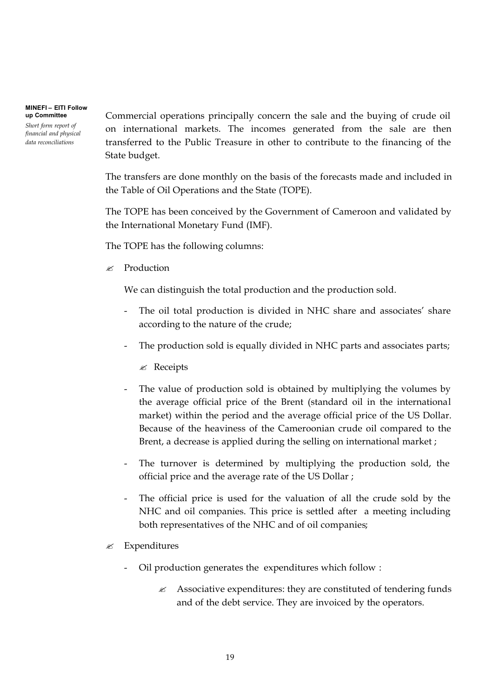*Short form report of financial and physical data reconciliations*

Commercial operations principally concern the sale and the buying of crude oil on international markets. The incomes generated from the sale are then transferred to the Public Treasure in other to contribute to the financing of the State budget.

The transfers are done monthly on the basis of the forecasts made and included in the Table of Oil Operations and the State (TOPE).

The TOPE has been conceived by the Government of Cameroon and validated by the International Monetary Fund (IMF).

The TOPE has the following columns:

 $\mathscr{L}$  Production

We can distinguish the total production and the production sold.

- The oil total production is divided in NHC share and associates' share according to the nature of the crude;
- The production sold is equally divided in NHC parts and associates parts;

 $\mathscr{A}$  Receipts

- The value of production sold is obtained by multiplying the volumes by the average official price of the Brent (standard oil in the international market) within the period and the average official price of the US Dollar. Because of the heaviness of the Cameroonian crude oil compared to the Brent, a decrease is applied during the selling on international market ;
- The turnover is determined by multiplying the production sold, the official price and the average rate of the US Dollar ;
- The official price is used for the valuation of all the crude sold by the NHC and oil companies. This price is settled after a meeting including both representatives of the NHC and of oil companies;
- $\mathscr{\mathscr{E}}$  Expenditures
	- Oil production generates the expenditures which follow :
		- $\mathscr{L}$  Associative expenditures: they are constituted of tendering funds and of the debt service. They are invoiced by the operators.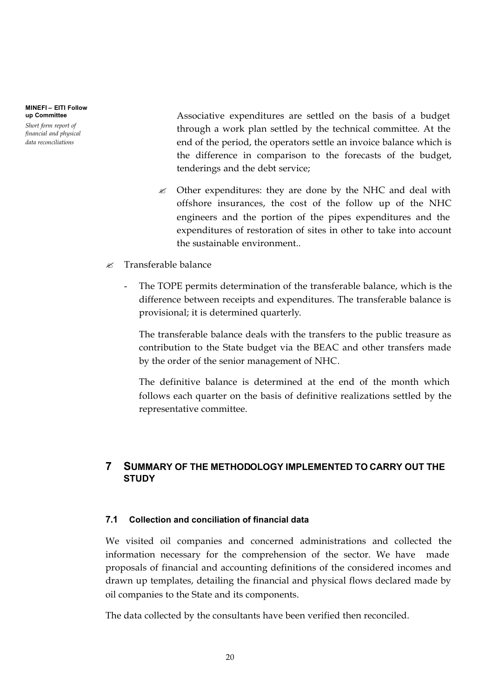*Short form report of financial and physical data reconciliations*

Associative expenditures are settled on the basis of a budget through a work plan settled by the technical committee. At the end of the period, the operators settle an invoice balance which is the difference in comparison to the forecasts of the budget, tenderings and the debt service;

- $\mathcal{L}$  Other expenditures: they are done by the NHC and deal with offshore insurances, the cost of the follow up of the NHC engineers and the portion of the pipes expenditures and the expenditures of restoration of sites in other to take into account the sustainable environment..
- $\ll$  Transferable balance
	- The TOPE permits determination of the transferable balance, which is the difference between receipts and expenditures. The transferable balance is provisional; it is determined quarterly.

The transferable balance deals with the transfers to the public treasure as contribution to the State budget via the BEAC and other transfers made by the order of the senior management of NHC.

The definitive balance is determined at the end of the month which follows each quarter on the basis of definitive realizations settled by the representative committee.

## **7 SUMMARY OF THE METHODOLOGY IMPLEMENTED TO CARRY OUT THE STUDY**

## **7.1 Collection and conciliation of financial data**

We visited oil companies and concerned administrations and collected the information necessary for the comprehension of the sector. We have made proposals of financial and accounting definitions of the considered incomes and drawn up templates, detailing the financial and physical flows declared made by oil companies to the State and its components.

The data collected by the consultants have been verified then reconciled.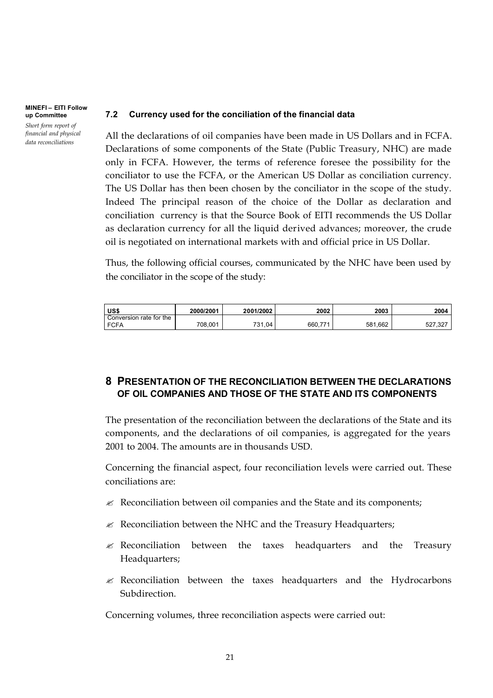#### **MINEFI – EITI Follow up Committee** *Short form report of financial and physical*

*data reconciliations*

### **7.2 Currency used for the conciliation of the financial data**

All the declarations of oil companies have been made in US Dollars and in FCFA. Declarations of some components of the State (Public Treasury, NHC) are made only in FCFA. However, the terms of reference foresee the possibility for the conciliator to use the FCFA, or the American US Dollar as conciliation currency. The US Dollar has then been chosen by the conciliator in the scope of the study. Indeed The principal reason of the choice of the Dollar as declaration and conciliation currency is that the Source Book of EITI recommends the US Dollar as declaration currency for all the liquid derived advances; moreover, the crude oil is negotiated on international markets with and official price in US Dollar.

Thus, the following official courses, communicated by the NHC have been used by the conciliator in the scope of the study:

| US\$                    | 2000/2001 | 2001/2002    | 2002          | 2003    | 2004        |
|-------------------------|-----------|--------------|---------------|---------|-------------|
| Conversion rate for the |           |              |               |         |             |
| <b>FCFA</b>             | 708.001   | 31.04<br>721 | 77'<br>660.7, | 581.662 | ,327<br>527 |

## **8 PRESENTATION OF THE RECONCILIATION BETWEEN THE DECLARATIONS OF OIL COMPANIES AND THOSE OF THE STATE AND ITS COMPONENTS**

The presentation of the reconciliation between the declarations of the State and its components, and the declarations of oil companies, is aggregated for the years 2001 to 2004. The amounts are in thousands USD.

Concerning the financial aspect, four reconciliation levels were carried out. These conciliations are:

- $\mathcal{L}$  Reconciliation between oil companies and the State and its components;
- $\mathcal{L}$  Reconciliation between the NHC and the Treasury Headquarters;
- $\mathscr E$  Reconciliation between the taxes headquarters and the Treasury Headquarters;
- $\approx$  Reconciliation between the taxes headquarters and the Hydrocarbons Subdirection.

Concerning volumes, three reconciliation aspects were carried out: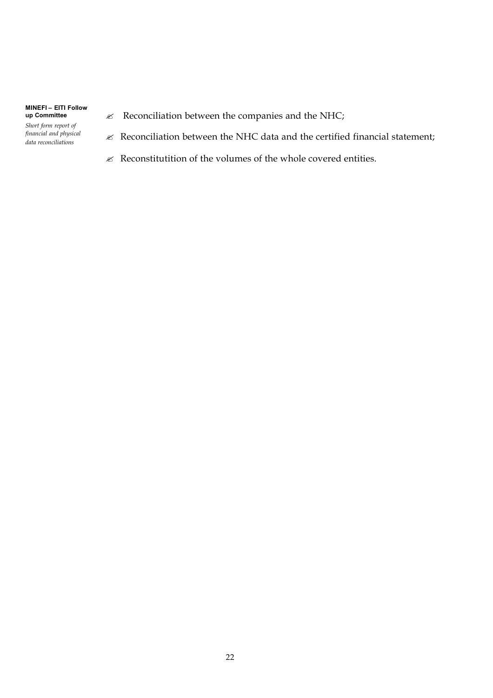*Short form report of financial and physical data reconciliations*

- $\mathcal{L}$  Reconciliation between the companies and the NHC;
- $\mathcal{L}$  Reconciliation between the NHC data and the certified financial statement;
- $\mathcal E$  Reconstitutition of the volumes of the whole covered entities.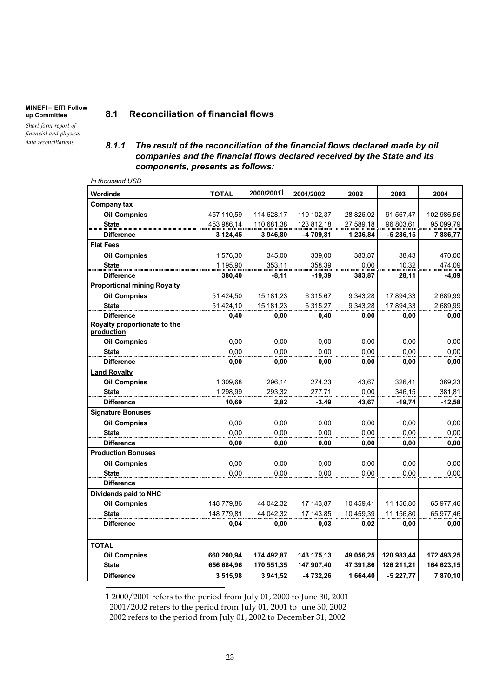*Short form report of financial and physical data reconciliations*

## **8.1 Reconciliation of financial flows**

### *8.1.1 The result of the reconciliation of the financial flows declared made by oil companies and the financial flows declared received by the State and its components, presents as follows:*

*In thousand USD*

| <b>Wordinds</b>                            | <b>TOTAL</b> | 2000/20011 | 2001/2002  | 2002      | 2003       | 2004       |
|--------------------------------------------|--------------|------------|------------|-----------|------------|------------|
| Company tax                                |              |            |            |           |            |            |
| <b>Oil Compnies</b>                        | 457 110,59   | 114 628,17 | 119 102,37 | 28 826,02 | 91 567,47  | 102 986,56 |
| <b>State</b>                               | 453 986,14   | 110 681,38 | 123 812,18 | 27 589,18 | 96 803,61  | 95 099,79  |
| <b>Difference</b>                          | 3 124,45     | 3 946,80   | -4 709,81  | 1 236,84  | $-5236,15$ | 7886,77    |
| <b>Flat Fees</b>                           |              |            |            |           |            |            |
| <b>Oil Compnies</b>                        | 1576,30      | 345,00     | 339,00     | 383,87    | 38,43      | 470,00     |
| <b>State</b>                               | 1 195,90     | 353,11     | 358,39     | 0,00      | 10,32      | 474,09     |
| <b>Difference</b>                          | 380,40       | $-8,11$    | $-19,39$   | 383,87    | 28,11      | $-4,09$    |
| <b>Proportional mining Royalty</b>         |              |            |            |           |            |            |
| <b>Oil Compnies</b>                        | 51 424,50    | 15 181,23  | 6 315,67   | 9 343,28  | 17 894,33  | 2 689,99   |
| <b>State</b>                               | 51 424,10    | 15 181,23  | 6 315,27   | 9 343,28  | 17 894,33  | 2 689,99   |
| <b>Difference</b>                          | 0,40         | 0,00       | 0,40       | 0,00      | 0,00       | 0,00       |
| Royalty proportionate to the<br>production |              |            |            |           |            |            |
| <b>Oil Compnies</b>                        | 0,00         | 0,00       | 0,00       | 0,00      | 0,00       | 0,00       |
| <b>State</b>                               | 0,00         | 0,00       | 0,00       | 0,00      | 0,00       | 0,00       |
| <b>Difference</b>                          | 0,00         | 0,00       | 0,00       | 0,00      | 0,00       | 0,00       |
| <b>Land Royalty</b>                        |              |            |            |           |            |            |
| <b>Oil Compnies</b>                        | 1 309,68     | 296,14     | 274,23     | 43,67     | 326,41     | 369,23     |
| <b>State</b>                               | 1 298,99     | 293,32     | 277,71     | 0,00      | 346,15     | 381,81     |
| <b>Difference</b>                          | 10,69        | 2,82       | $-3,49$    | 43,67     | $-19,74$   | $-12,58$   |
| <b>Signature Bonuses</b>                   |              |            |            |           |            |            |
| <b>Oil Compnies</b>                        | 0,00         | 0,00       | 0,00       | 0,00      | 0,00       | 0,00       |
| <b>State</b>                               | 0,00         | 0,00       | 0,00       | 0,00      | 0,00       | 0,00       |
| <b>Difference</b>                          | 0,00         | 0,00       | 0,00       | 0,00      | 0.00       | 0,00       |
| <b>Production Bonuses</b>                  |              |            |            |           |            |            |
| <b>Oil Compnies</b>                        | 0,00         | 0.00       | 0,00       | 0,00      | 0,00       | 0,00       |
| <b>State</b>                               | 0.00         | 0,00       | 0.00       | 0.00      | 0,00       | 0,00       |
| <b>Difference</b>                          |              |            |            |           |            |            |
| Dividends paid to NHC                      |              |            |            |           |            |            |
| <b>Oil Compnies</b>                        | 148 779,86   | 44 042,32  | 17 143,87  | 10 459,41 | 11 156,80  | 65 977,46  |
| <b>State</b>                               | 148 779,81   | 44 042,32  | 17 143,85  | 10 459,39 | 11 156,80  | 65 977,46  |
| <b>Difference</b>                          | 0,04         | 0,00       | 0,03       | 0,02      | 0,00       | 0,00       |
| TOTAL                                      |              |            |            |           |            |            |
| <b>Oil Compnies</b>                        | 660 200,94   | 174 492,87 | 143 175,13 | 49 056,25 | 120 983,44 | 172 493,25 |
| <b>State</b>                               | 656 684,96   | 170 551,35 | 147 907,40 | 47 391,86 | 126 211,21 | 164 623,15 |
| <b>Difference</b>                          | 3515,98      | 3 941,52   | -4 732,26  | 1664.40   | $-5227,77$ | 7870,10    |

**1** 2000/2001 refers to the period from July 01, 2000 to June 30, 2001 2001/2002 refers to the period from July 01, 2001 to June 30, 2002 2002 refers to the period from July 01, 2002 to December 31, 2002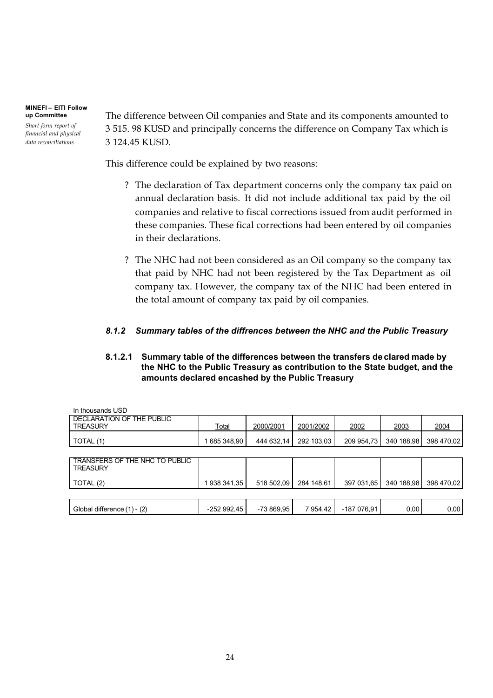*Short form report of financial and physical data reconciliations*

The difference between Oil companies and State and its components amounted to 3 515. 98 KUSD and principally concerns the difference on Company Tax which is 3 124.45 KUSD.

This difference could be explained by two reasons:

- ? The declaration of Tax department concerns only the company tax paid on annual declaration basis. It did not include additional tax paid by the oil companies and relative to fiscal corrections issued from audit performed in these companies. These fical corrections had been entered by oil companies in their declarations.
- ? The NHC had not been considered as an Oil company so the company tax that paid by NHC had not been registered by the Tax Department as oil company tax. However, the company tax of the NHC had been entered in the total amount of company tax paid by oil companies.

## *8.1.2 Summary tables of the diffrences between the NHC and the Public Treasury*

## **8.1.2.1 Summary table of the differences between the transfers de clared made by the NHC to the Public Treasury as contribution to the State budget, and the amounts declared encashed by the Public Treasury**

| In thousands USD                                  |             |            |            |             |            |            |
|---------------------------------------------------|-------------|------------|------------|-------------|------------|------------|
| DECLARATION OF THE PUBLIC<br><b>TREASURY</b>      | Total       | 2000/2001  | 2001/2002  | 2002        | 2003       | 2004       |
| TOTAL (1)                                         | 685 348,90  | 444 632,14 | 292 103,03 | 209 954,73  | 340 188,98 | 398 470,02 |
|                                                   |             |            |            |             |            |            |
| TRANSFERS OF THE NHC TO PUBLIC<br><b>TREASURY</b> |             |            |            |             |            |            |
| TOTAL (2)                                         | 938 341,35  | 518 502,09 | 284 148,61 | 397 031,65  | 340 188,98 | 398 470.02 |
|                                                   |             |            |            |             |            |            |
| Global difference (1) - (2)                       | -252 992,45 | -73 869.95 | 7 954.42   | -187 076.91 | 0.00       | 0.00       |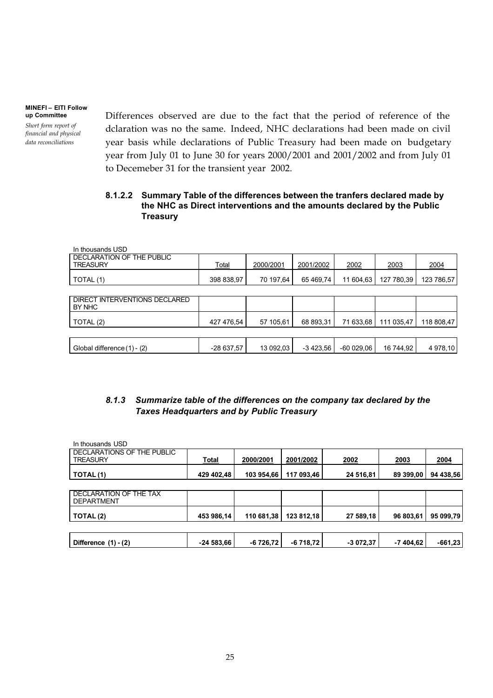*Short form report of financial and physical data reconciliations*

Differences observed are due to the fact that the period of reference of the dclaration was no the same. Indeed, NHC declarations had been made on civil year basis while declarations of Public Treasury had been made on budgetary year from July 01 to June 30 for years 2000/2001 and 2001/2002 and from July 01 to Decemeber 31 for the transient year 2002.

## **8.1.2.2 Summary Table of the differences between the tranfers declared made by the NHC as Direct interventions and the amounts declared by the Public Treasury**

| In thousands USD                             |              |           |            |             |            |            |
|----------------------------------------------|--------------|-----------|------------|-------------|------------|------------|
| DECLARATION OF THE PUBLIC<br><b>TREASURY</b> | <u>Total</u> | 2000/2001 | 2001/2002  | 2002        | 2003       | 2004       |
| TOTAL (1)                                    | 398 838,97   | 70 197,64 | 65 469,74  | 11 604,63   | 127 780,39 | 123 786,57 |
|                                              |              |           |            |             |            |            |
| DIRECT INTERVENTIONS DECLARED<br>BY NHC      |              |           |            |             |            |            |
| TOTAL (2)                                    | 427 476,54   | 57 105,61 | 68 893.31  | 71 633,68   | 111 035,47 | 118 808,47 |
|                                              |              |           |            |             |            |            |
| Global difference (1) - (2)                  | $-28637,57$  | 13 092,03 | $-3423,56$ | $-60029,06$ | 16 744,92  | 4 978,10   |

## *8.1.3 Summarize table of the differences on the company tax declared by the Taxes Headquarters and by Public Treasury*

| In thousands USD                                   |             |            |            |            |           |           |
|----------------------------------------------------|-------------|------------|------------|------------|-----------|-----------|
| DECLARATIONS OF THE PUBLIC<br><b>TREASURY</b>      | Total       | 2000/2001  | 2001/2002  | 2002       | 2003      | 2004      |
| TOTAL(1)                                           | 429 402,48  | 103 954,66 | 117 093,46 | 24 516,81  | 89 399,00 | 94 438,56 |
|                                                    |             |            |            |            |           |           |
| <b>DECLARATION OF THE TAX</b><br><b>DEPARTMENT</b> |             |            |            |            |           |           |
| TOTAL(2)                                           | 453 986,14  | 110 681,38 | 123 812,18 | 27 589,18  | 96 803,61 | 95 099,79 |
|                                                    |             |            |            |            |           |           |
| Difference $(1) - (2)$                             | $-24583,66$ | $-6726,72$ | $-6718,72$ | $-3072.37$ | -7 404.62 | $-661,23$ |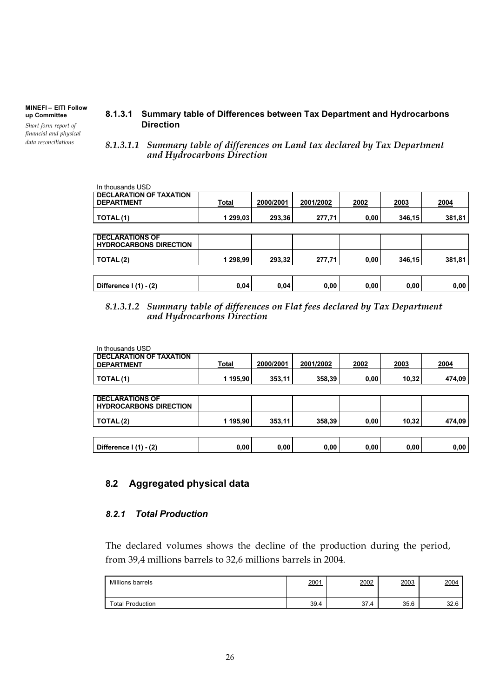*Short form report of financial and physical data reconciliations*

- **8.1.3.1 Summary table of Differences between Tax Department and Hydrocarbons Direction**
- *8.1.3.1.1 Summary table of differences on Land tax declared by Tax Department and Hydrocarbons Direction*

| In thousands USD                                        |              |           |           |      |        |        |
|---------------------------------------------------------|--------------|-----------|-----------|------|--------|--------|
| <b>DECLARATION OF TAXATION</b><br><b>DEPARTMENT</b>     | <b>Total</b> | 2000/2001 | 2001/2002 | 2002 | 2003   | 2004   |
| TOTAL(1)                                                | 1 299,03     | 293,36    | 277,71    | 0,00 | 346,15 | 381,81 |
|                                                         |              |           |           |      |        |        |
| <b>DECLARATIONS OF</b><br><b>HYDROCARBONS DIRECTION</b> |              |           |           |      |        |        |
| TOTAL(2)                                                | 1 298,99     | 293,32    | 277,71    | 0,00 | 346,15 | 381,81 |
|                                                         |              |           |           |      |        |        |
| Difference I (1) - (2)                                  | 0,04         | 0,04      | 0,00      | 0,00 | 0,00   | 0,00   |

### *8.1.3.1.2 Summary table of differences on Flat fees declared by Tax Department and Hydrocarbons Direction*

| In thousands USD                                        |          |           |           |      |       |        |
|---------------------------------------------------------|----------|-----------|-----------|------|-------|--------|
| <b>DECLARATION OF TAXATION</b><br><b>DEPARTMENT</b>     | Total    | 2000/2001 | 2001/2002 | 2002 | 2003  | 2004   |
| TOTAL(1)                                                | 1 195,90 | 353,11    | 358,39    | 0,00 | 10,32 | 474,09 |
|                                                         |          |           |           |      |       |        |
| <b>DECLARATIONS OF</b><br><b>HYDROCARBONS DIRECTION</b> |          |           |           |      |       |        |
| TOTAL(2)                                                | 1 195,90 | 353,11    | 358,39    | 0,00 | 10,32 | 474,09 |
|                                                         |          |           |           |      |       |        |
| Difference I (1) - (2)                                  | 0,00     | 0,00      | 0,00      | 0,00 | 0,00  | 0,00   |

## **8.2 Aggregated physical data**

## *8.2.1 Total Production*

The declared volumes shows the decline of the production during the period, from 39,4 millions barrels to 32,6 millions barrels in 2004.

| Millions barrels        | 2001 | 2002 | 2003 | 2004 |
|-------------------------|------|------|------|------|
| <b>Total Production</b> | 39.4 | 37.4 | 35.6 | 32.6 |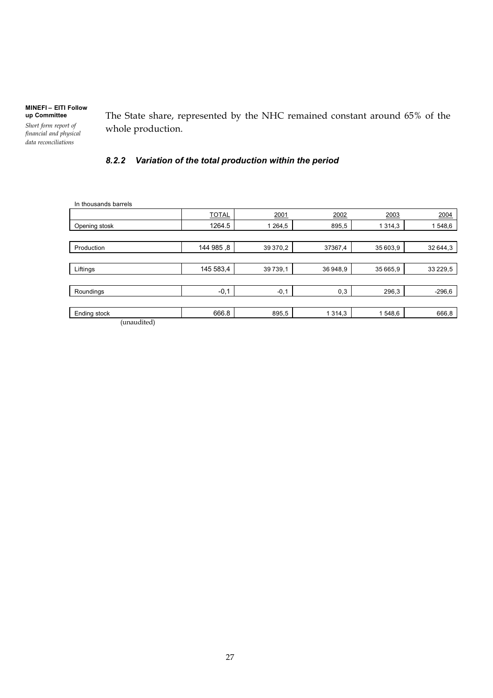*Short form report of financial and physical data reconciliations*

The State share, represented by the NHC remained constant around 65% of the whole production.

## *8.2.2 Variation of the total production within the period*

| In thousands barrels |              |          |           |           |             |
|----------------------|--------------|----------|-----------|-----------|-------------|
|                      | <b>TOTAL</b> | 2001     | 2002      | 2003      | 2004        |
| Opening stosk        | 1264.5       | 1 264,5  | 895,5     | 1 3 1 4 3 | 1548,6      |
|                      |              |          |           |           |             |
| Production           | 144 985, 8   | 39 370,2 | 37367,4   | 35 603,9  | 32 644,3    |
|                      |              |          |           |           |             |
| Liftings             | 145 583,4    | 39739,1  | 36948,9   | 35 665,9  | 33 2 2 9, 5 |
|                      |              |          |           |           |             |
| Roundings            | $-0,1$       | $-0,1$   | 0,3       | 296,3     | $-296,6$    |
|                      |              |          |           |           |             |
| Ending stock         | 666.8        | 895,5    | 1 3 1 4 3 | 1548,6    | 666,8       |
| (unaudited)          |              |          |           |           |             |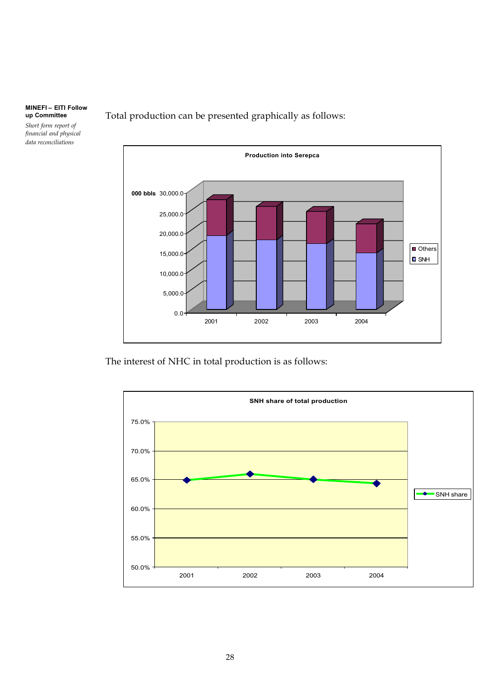*Short form report of financial and physical data reconciliations*



Total production can be presented graphically as follows:

The interest of NHC in total production is as follows:

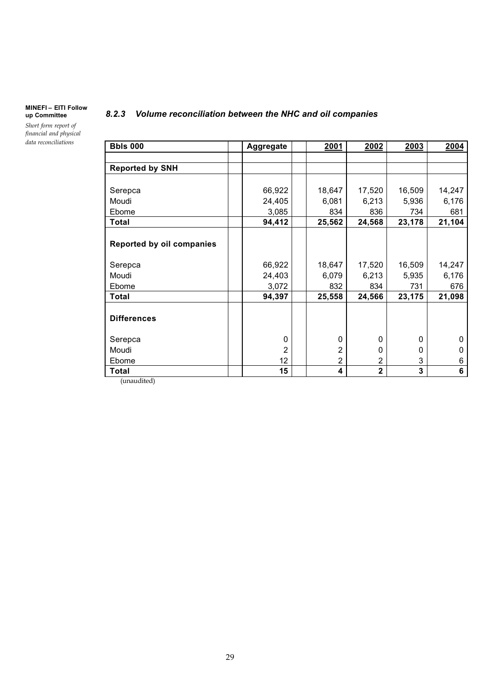*Short form report of financial and physical data reconciliations*

## **Bbls 000 Aggregate 2001 2002 2003 2004 Reported by SNH** Serepca | | 66,922 | | 18,647 | 17,520 | 16,509 | 14,247 Moudi 24,405 6,081 6,213 5,936 6,176 Ebome | | 3,085 | | 834 | 836 | 734 | 681 **Total 94,412 25,562 24,568 23,178 21,104 Reported by oil companies** Serepca | | 66,922 | | 18,647 | 17,520 | 16,509 | 14,247 Moudi 24,403 6,079 6,213 5,935 6,176 Ebome 3,072 832 834 731 676 **Total 94,397 25,558 24,566 23,175 21,098 Differences** Serepca | | 0 | | 0 | 0 | 0 | 0 Moudi 2 2000 Ebome 12 2236 **Total 15 4236**

*8.2.3 Volume reconciliation between the NHC and oil companies*

(unaudited)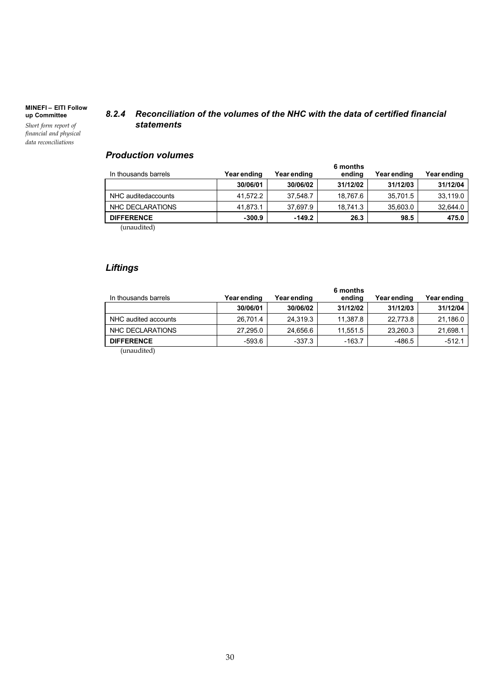*Short form report of financial and physical data reconciliations*

### *8.2.4 Reconciliation of the volumes of the NHC with the data of certified financial statements*

## *Production volumes*

| In thousands barrels | Year ending | Year ending | 6 months<br>ending | Year ending | Year ending |
|----------------------|-------------|-------------|--------------------|-------------|-------------|
|                      | 30/06/01    | 30/06/02    | 31/12/02           | 31/12/03    | 31/12/04    |
| NHC auditedaccounts  | 41,572.2    | 37,548.7    | 18.767.6           | 35,701.5    | 33,119.0    |
| NHC DECLARATIONS     | 41,873.1    | 37,697.9    | 18.741.3           | 35,603.0    | 32,644.0    |
| <b>DIFFERENCE</b>    | $-300.9$    | $-149.2$    | 26.3               | 98.5        | 475.0       |
| (unaudited)          |             |             |                    |             |             |

(unaudited)

## *Liftings*

| In thousands barrels | Year ending | Year ending | 6 months<br>ending | Year ending | Year ending |
|----------------------|-------------|-------------|--------------------|-------------|-------------|
|                      | 30/06/01    | 30/06/02    | 31/12/02           | 31/12/03    | 31/12/04    |
| NHC audited accounts | 26,701.4    | 24,319.3    | 11,387.8           | 22,773.8    | 21,186.0    |
| NHC DECLARATIONS     | 27,295.0    | 24,656.6    | 11,551.5           | 23,260.3    | 21,698.1    |
| <b>DIFFERENCE</b>    | $-593.6$    | $-337.3$    | $-163.7$           | $-486.5$    | $-512.1$    |
| (nnaudited)          |             |             |                    |             |             |

(unaudited)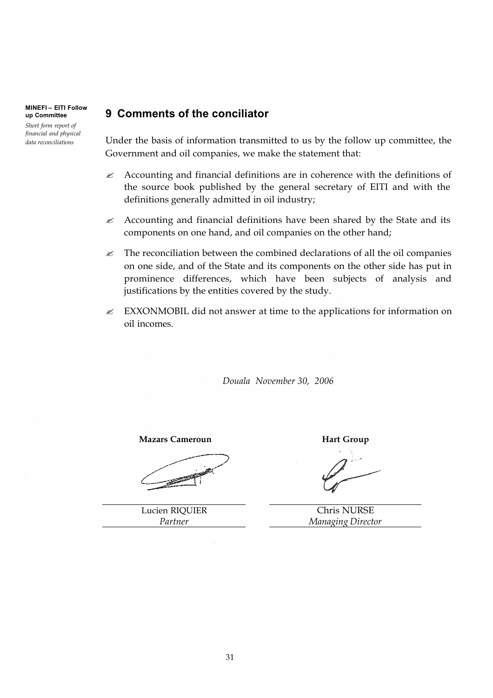**MINEFI – EITI Follow up Committee** *Short form report of financial and physical* 

*data reconciliations*

## **9 Comments of the conciliator**

Under the basis of information transmitted to us by the follow up committee, the Government and oil companies, we make the statement that:

- $\mathcal{L}$  Accounting and financial definitions are in coherence with the definitions of the source book published by the general secretary of EITI and with the definitions generally admitted in oil industry;
- $\mathcal{L}$  Accounting and financial definitions have been shared by the State and its components on one hand, and oil companies on the other hand;
- $\mathscr Z$  The reconciliation between the combined declarations of all the oil companies on one side, and of the State and its components on the other side has put in prominence differences, which have been subjects of analysis and justifications by the entities covered by the study.
- $\mathbb Z$  EXXONMOBIL did not answer at time to the applications for information on oil incomes.

*Douala November 30, 2006*

**Mazars Cameroun Hart Group** 

Lucien RIQUIER *Partner*

Chris NURSE *Managing Director*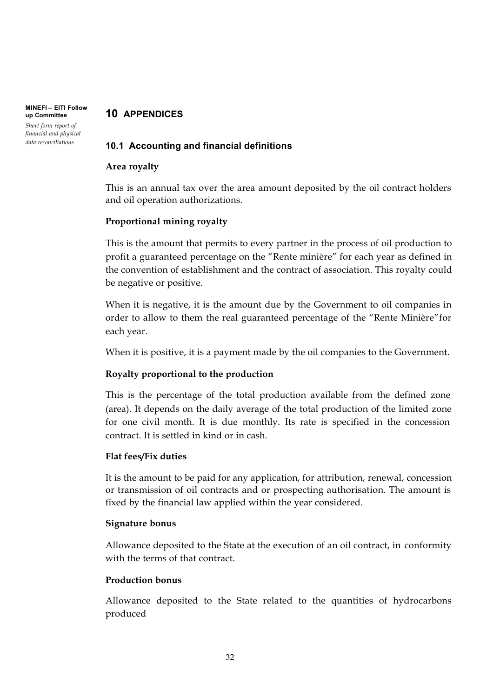#### **MINEFI – EITI Follow 10 APPENDICES**

#### **up Committee** *Short form report of financial and physical data reconciliations*

## **10.1 Accounting and financial definitions**

## **Area royalty**

This is an annual tax over the area amount deposited by the oil contract holders and oil operation authorizations.

## **Proportional mining royalty**

This is the amount that permits to every partner in the process of oil production to profit a guaranteed percentage on the "Rente minière" for each year as defined in the convention of establishment and the contract of association. This royalty could be negative or positive.

When it is negative, it is the amount due by the Government to oil companies in order to allow to them the real guaranteed percentage of the "Rente Minière"for each year.

When it is positive, it is a payment made by the oil companies to the Government.

## **Royalty proportional to the production**

This is the percentage of the total production available from the defined zone (area). It depends on the daily average of the total production of the limited zone for one civil month. It is due monthly. Its rate is specified in the concession contract. It is settled in kind or in cash.

## **Flat fees/Fix duties**

It is the amount to be paid for any application, for attribution, renewal, concession or transmission of oil contracts and or prospecting authorisation. The amount is fixed by the financial law applied within the year considered.

## **Signature bonus**

Allowance deposited to the State at the execution of an oil contract, in conformity with the terms of that contract.

## **Production bonus**

Allowance deposited to the State related to the quantities of hydrocarbons produced